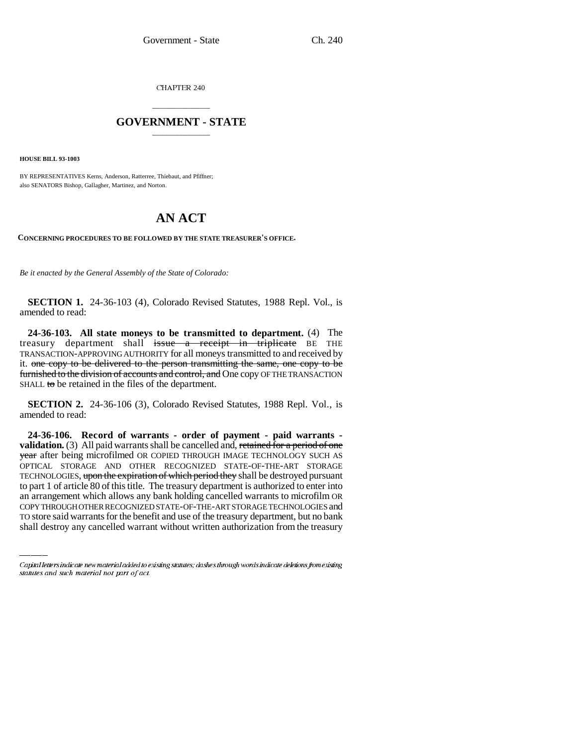CHAPTER 240

## \_\_\_\_\_\_\_\_\_\_\_\_\_\_\_ **GOVERNMENT - STATE** \_\_\_\_\_\_\_\_\_\_\_\_\_\_\_

**HOUSE BILL 93-1003**

BY REPRESENTATIVES Kerns, Anderson, Ratterree, Thiebaut, and Pfiffner; also SENATORS Bishop, Gallagher, Martinez, and Norton.

## **AN ACT**

**CONCERNING PROCEDURES TO BE FOLLOWED BY THE STATE TREASURER'S OFFICE.**

*Be it enacted by the General Assembly of the State of Colorado:*

**SECTION 1.** 24-36-103 (4), Colorado Revised Statutes, 1988 Repl. Vol., is amended to read:

**24-36-103. All state moneys to be transmitted to department.** (4) The treasury department shall issue a receipt in triplicate BE THE TRANSACTION-APPROVING AUTHORITY for all moneys transmitted to and received by it. one copy to be delivered to the person transmitting the same, one copy to be furnished to the division of accounts and control, and One copy OF THE TRANSACTION SHALL to be retained in the files of the department.

**SECTION 2.** 24-36-106 (3), Colorado Revised Statutes, 1988 Repl. Vol., is amended to read:

to part 1 of article 80 of this title. The treasury department is authorized to enter into **24-36-106. Record of warrants - order of payment - paid warrants validation.** (3) All paid warrants shall be cancelled and, retained for a period of one year after being microfilmed OR COPIED THROUGH IMAGE TECHNOLOGY SUCH AS OPTICAL STORAGE AND OTHER RECOGNIZED STATE-OF-THE-ART STORAGE TECHNOLOGIES, upon the expiration of which period they shall be destroyed pursuant an arrangement which allows any bank holding cancelled warrants to microfilm OR COPY THROUGH OTHER RECOGNIZED STATE-OF-THE-ART STORAGE TECHNOLOGIES and TO store said warrants for the benefit and use of the treasury department, but no bank shall destroy any cancelled warrant without written authorization from the treasury

Capital letters indicate new material added to existing statutes; dashes through words indicate deletions from existing statutes and such material not part of act.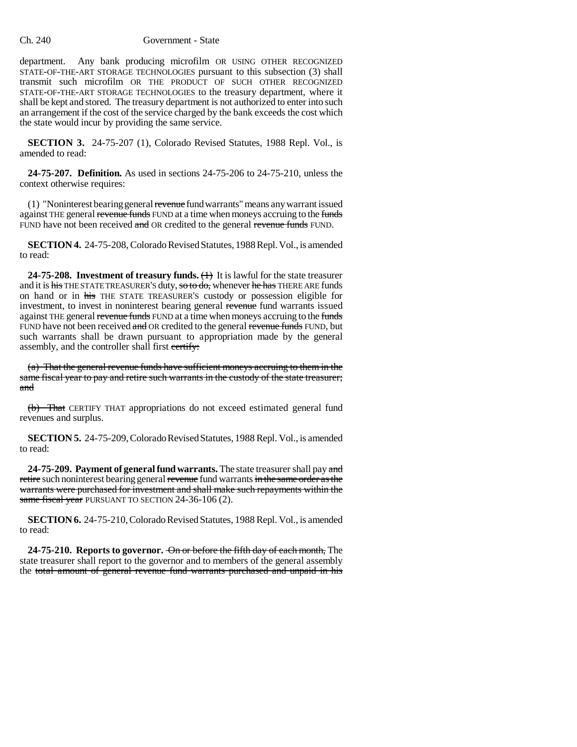## Ch. 240 Government - State

department. Any bank producing microfilm OR USING OTHER RECOGNIZED STATE-OF-THE-ART STORAGE TECHNOLOGIES pursuant to this subsection (3) shall transmit such microfilm OR THE PRODUCT OF SUCH OTHER RECOGNIZED STATE-OF-THE-ART STORAGE TECHNOLOGIES to the treasury department, where it shall be kept and stored. The treasury department is not authorized to enter into such an arrangement if the cost of the service charged by the bank exceeds the cost which the state would incur by providing the same service.

**SECTION 3.** 24-75-207 (1), Colorado Revised Statutes, 1988 Repl. Vol., is amended to read:

**24-75-207. Definition.** As used in sections 24-75-206 to 24-75-210, unless the context otherwise requires:

(1) "Noninterest bearing general revenue fund warrants" means any warrant issued against THE general revenue funds FUND at a time when moneys accruing to the funds FUND have not been received and OR credited to the general revenue funds FUND.

**SECTION 4.** 24-75-208, Colorado Revised Statutes, 1988 Repl. Vol., is amended to read:

**24-75-208. Investment of treasury funds.**  $\left\{\text{+}\right\}$  It is lawful for the state treasurer and it is his THE STATE TREASURER'S duty, so to do, whenever he has THERE ARE funds on hand or in his THE STATE TREASURER'S custody or possession eligible for investment, to invest in noninterest bearing general revenue fund warrants issued against THE general revenue funds FUND at a time when moneys accruing to the funds FUND have not been received and OR credited to the general revenue funds FUND, but such warrants shall be drawn pursuant to appropriation made by the general assembly, and the controller shall first certify:

(a) That the general revenue funds have sufficient moneys accruing to them in the same fiscal year to pay and retire such warrants in the custody of the state treasurer; and

(b) That CERTIFY THAT appropriations do not exceed estimated general fund revenues and surplus.

**SECTION 5.** 24-75-209, Colorado Revised Statutes, 1988 Repl. Vol., is amended to read:

**24-75-209. Payment of general fund warrants.** The state treasurer shall pay and retire such noninterest bearing general revenue fund warrants in the same order as the warrants were purchased for investment and shall make such repayments within the same fiscal year PURSUANT TO SECTION 24-36-106 (2).

**SECTION 6.** 24-75-210, Colorado Revised Statutes, 1988 Repl. Vol., is amended to read:

24-75-210. Reports to governor. On or before the fifth day of each month, The state treasurer shall report to the governor and to members of the general assembly the total amount of general revenue fund warrants purchased and unpaid in his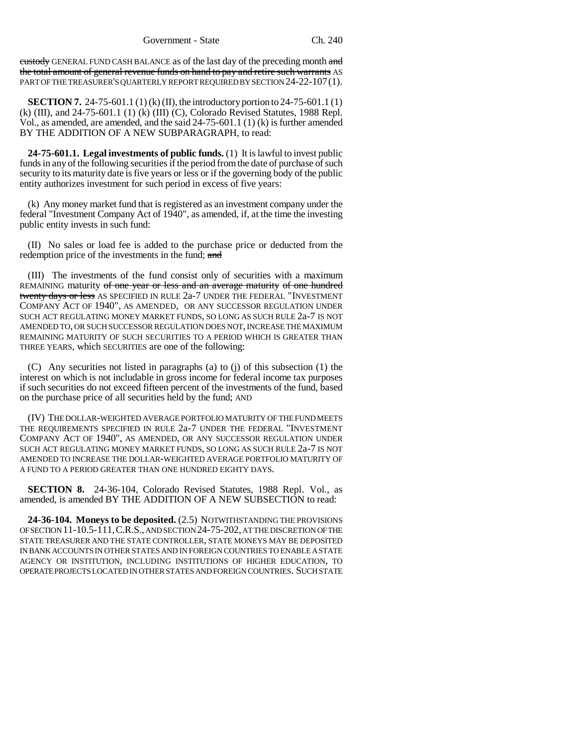custody GENERAL FUND CASH BALANCE as of the last day of the preceding month and the total amount of general revenue funds on hand to pay and retire such warrants AS PART OF THE TREASURER'S QUARTERLY REPORT REQUIRED BY SECTION 24-22-107(1).

**SECTION 7.** 24-75-601.1 (1) (k) (II), the introductory portion to 24-75-601.1 (1) (k) (III), and 24-75-601.1 (1) (k) (III) (C), Colorado Revised Statutes, 1988 Repl. Vol., as amended, are amended, and the said 24-75-601.1 (1) (k) is further amended BY THE ADDITION OF A NEW SUBPARAGRAPH, to read:

**24-75-601.1. Legal investments of public funds.** (1) It is lawful to invest public funds in any of the following securities if the period from the date of purchase of such security to its maturity date is five years or less or if the governing body of the public entity authorizes investment for such period in excess of five years:

(k) Any money market fund that is registered as an investment company under the federal "Investment Company Act of 1940", as amended, if, at the time the investing public entity invests in such fund:

(II) No sales or load fee is added to the purchase price or deducted from the redemption price of the investments in the fund; and

(III) The investments of the fund consist only of securities with a maximum REMAINING maturity of one year or less and an average maturity of one hundred twenty days or less AS SPECIFIED IN RULE 2a-7 UNDER THE FEDERAL "INVESTMENT COMPANY ACT OF 1940", AS AMENDED, OR ANY SUCCESSOR REGULATION UNDER SUCH ACT REGULATING MONEY MARKET FUNDS, SO LONG AS SUCH RULE 2a-7 IS NOT AMENDED TO, OR SUCH SUCCESSOR REGULATION DOES NOT, INCREASE THE MAXIMUM REMAINING MATURITY OF SUCH SECURITIES TO A PERIOD WHICH IS GREATER THAN THREE YEARS, which SECURITIES are one of the following:

(C) Any securities not listed in paragraphs (a) to (j) of this subsection (1) the interest on which is not includable in gross income for federal income tax purposes if such securities do not exceed fifteen percent of the investments of the fund, based on the purchase price of all securities held by the fund; AND

(IV) THE DOLLAR-WEIGHTED AVERAGE PORTFOLIO MATURITY OF THE FUND MEETS THE REQUIREMENTS SPECIFIED IN RULE 2a-7 UNDER THE FEDERAL "INVESTMENT COMPANY ACT OF 1940", AS AMENDED, OR ANY SUCCESSOR REGULATION UNDER SUCH ACT REGULATING MONEY MARKET FUNDS, SO LONG AS SUCH RULE 2a-7 IS NOT AMENDED TO INCREASE THE DOLLAR-WEIGHTED AVERAGE PORTFOLIO MATURITY OF A FUND TO A PERIOD GREATER THAN ONE HUNDRED EIGHTY DAYS.

**SECTION 8.** 24-36-104, Colorado Revised Statutes, 1988 Repl. Vol., as amended, is amended BY THE ADDITION OF A NEW SUBSECTION to read:

**24-36-104. Moneys to be deposited.** (2.5) NOTWITHSTANDING THE PROVISIONS OF SECTION 11-10.5-111,C.R.S., AND SECTION 24-75-202, AT THE DISCRETION OF THE STATE TREASURER AND THE STATE CONTROLLER, STATE MONEYS MAY BE DEPOSITED IN BANK ACCOUNTS IN OTHER STATES AND IN FOREIGN COUNTRIES TO ENABLE A STATE AGENCY OR INSTITUTION, INCLUDING INSTITUTIONS OF HIGHER EDUCATION, TO OPERATE PROJECTS LOCATED IN OTHER STATES AND FOREIGN COUNTRIES. SUCH STATE